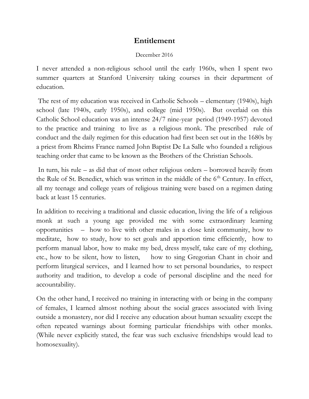## **Entitlement**

## December 2016

I never attended a non-religious school until the early 1960s, when I spent two summer quarters at Stanford University taking courses in their department of education.

The rest of my education was received in Catholic Schools – elementary (1940s), high school (late 1940s, early 1950s), and college (mid 1950s). But overlaid on this Catholic School education was an intense 24/7 nine-year period (1949-1957) devoted to the practice and training to live as a religious monk. The prescribed rule of conduct and the daily regimen for this education had first been set out in the 1680s by a priest from Rheims France named John Baptist De La Salle who founded a religious teaching order that came to be known as the Brothers of the Christian Schools.

In turn, his rule – as did that of most other religious orders – borrowed heavily from the Rule of St. Benedict, which was written in the middle of the  $6<sup>th</sup>$  Century. In effect, all my teenage and college years of religious training were based on a regimen dating back at least 15 centuries.

In addition to receiving a traditional and classic education, living the life of a religious monk at such a young age provided me with some extraordinary learning opportunities – how to live with other males in a close knit community, how to meditate, how to study, how to set goals and apportion time efficiently, how to perform manual labor, how to make my bed, dress myself, take care of my clothing, etc., how to be silent, how to listen, how to sing Gregorian Chant in choir and perform liturgical services, and I learned how to set personal boundaries, to respect authority and tradition, to develop a code of personal discipline and the need for accountability.

On the other hand, I received no training in interacting with or being in the company of females, I learned almost nothing about the social graces associated with living outside a monastery, nor did I receive any education about human sexuality except the often repeated warnings about forming particular friendships with other monks. (While never explicitly stated, the fear was such exclusive friendships would lead to homosexuality).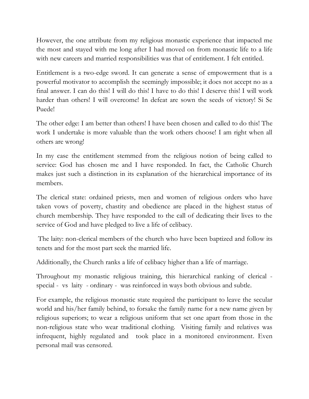However, the one attribute from my religious monastic experience that impacted me the most and stayed with me long after I had moved on from monastic life to a life with new careers and married responsibilities was that of entitlement. I felt entitled.

Entitlement is a two-edge sword. It can generate a sense of empowerment that is a powerful motivator to accomplish the seemingly impossible; it does not accept no as a final answer. I can do this! I will do this! I have to do this! I deserve this! I will work harder than others! I will overcome! In defeat are sown the seeds of victory! Si Se Puede!

The other edge: I am better than others! I have been chosen and called to do this! The work I undertake is more valuable than the work others choose! I am right when all others are wrong!

In my case the entitlement stemmed from the religious notion of being called to service: God has chosen me and I have responded. In fact, the Catholic Church makes just such a distinction in its explanation of the hierarchical importance of its members.

The clerical state: ordained priests, men and women of religious orders who have taken vows of poverty, chastity and obedience are placed in the highest status of church membership. They have responded to the call of dedicating their lives to the service of God and have pledged to live a life of celibacy.

The laity: non-clerical members of the church who have been baptized and follow its tenets and for the most part seek the married life.

Additionally, the Church ranks a life of celibacy higher than a life of marriage.

Throughout my monastic religious training, this hierarchical ranking of clerical special - vs laity - ordinary - was reinforced in ways both obvious and subtle.

For example, the religious monastic state required the participant to leave the secular world and his/her family behind, to forsake the family name for a new name given by religious superiors; to wear a religious uniform that set one apart from those in the non-religious state who wear traditional clothing. Visiting family and relatives was infrequent, highly regulated and took place in a monitored environment. Even personal mail was censored.